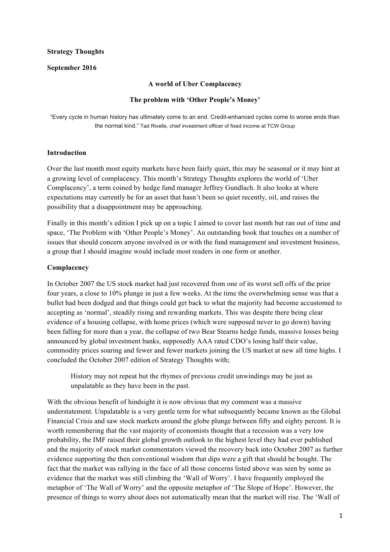## **Strategy Thoughts**

#### **September 2016**

#### **A world of Uber Complacency**

#### **The problem with 'Other People's Money'**

"Every cycle in human history has ultimately come to an end. Credit-enhanced cycles come to worse ends than the normal kind." Tad Rivelle, chief investment officer of fixed income at TCW Group

#### **Introduction**

Over the last month most equity markets have been fairly quiet, this may be seasonal or it may hint at a growing level of complacency. This month's Strategy Thoughts explores the world of 'Uber Complacency', a term coined by hedge fund manager Jeffrey Gundlach. It also looks at where expectations may currently be for an asset that hasn't been so quiet recently, oil, and raises the possibility that a disappointment may be approaching.

Finally in this month's edition I pick up on a topic I aimed to cover last month but ran out of time and space, 'The Problem with 'Other People's Money'. An outstanding book that touches on a number of issues that should concern anyone involved in or with the fund management and investment business, a group that I should imagine would include most readers in one form or another.

## **Complacency**

In October 2007 the US stock market had just recovered from one of its worst sell offs of the prior four years, a close to 10% plunge in just a few weeks. At the time the overwhelming sense was that a bullet had been dodged and that things could get back to what the majority had become accustomed to accepting as 'normal', steadily rising and rewarding markets. This was despite there being clear evidence of a housing collapse, with home prices (which were supposed never to go down) having been falling for more than a year, the collapse of two Bear Stearns hedge funds, massive losses being announced by global investment banks, supposedly AAA rated CDO's losing half their value, commodity prices soaring and fewer and fewer markets joining the US market at new all time highs. I concluded the October 2007 edition of Strategy Thoughts with;

History may not repeat but the rhymes of previous credit unwindings may be just as unpalatable as they have been in the past.

With the obvious benefit of hindsight it is now obvious that my comment was a massive understatement. Unpalatable is a very gentle term for what subsequently became known as the Global Financial Crisis and saw stock markets around the globe plunge between fifty and eighty percent. It is worth remembering that the vast majority of economists thought that a recession was a very low probability, the IMF raised their global growth outlook to the highest level they had ever published and the majority of stock market commentators viewed the recovery back into October 2007 as further evidence supporting the then conventional wisdom that dips were a gift that should be bought. The fact that the market was rallying in the face of all those concerns listed above was seen by some as evidence that the market was still climbing the 'Wall of Worry'. I have frequently employed the metaphor of 'The Wall of Worry' and the opposite metaphor of 'The Slope of Hope'. However, the presence of things to worry about does not automatically mean that the market will rise. The 'Wall of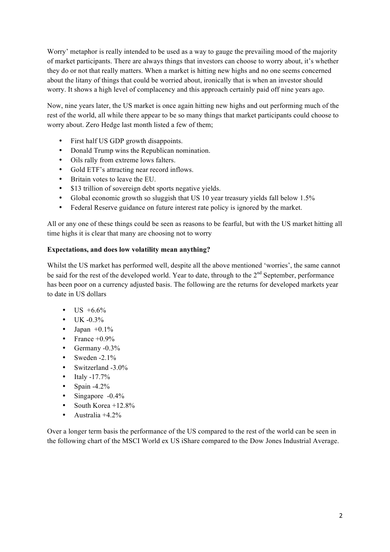Worry' metaphor is really intended to be used as a way to gauge the prevailing mood of the majority of market participants. There are always things that investors can choose to worry about, it's whether they do or not that really matters. When a market is hitting new highs and no one seems concerned about the litany of things that could be worried about, ironically that is when an investor should worry. It shows a high level of complacency and this approach certainly paid off nine years ago.

Now, nine years later, the US market is once again hitting new highs and out performing much of the rest of the world, all while there appear to be so many things that market participants could choose to worry about. Zero Hedge last month listed a few of them;

- First half US GDP growth disappoints.
- Donald Trump wins the Republican nomination.
- Oils rally from extreme lows falters.
- Gold ETF's attracting near record inflows.
- Britain votes to leave the EU.
- \$13 trillion of sovereign debt sports negative yields.
- Global economic growth so sluggish that US 10 year treasury yields fall below 1.5%
- Federal Reserve guidance on future interest rate policy is ignored by the market.

All or any one of these things could be seen as reasons to be fearful, but with the US market hitting all time highs it is clear that many are choosing not to worry

# **Expectations, and does low volatility mean anything?**

Whilst the US market has performed well, despite all the above mentioned 'worries', the same cannot be said for the rest of the developed world. Year to date, through to the 2<sup>nd</sup> September, performance has been poor on a currency adjusted basis. The following are the returns for developed markets year to date in US dollars

- $US + 6.6\%$
- $UK -0.3%$
- Japan  $+0.1\%$
- France  $+0.9\%$
- Germany -0.3%
- Sweden -2.1%
- Switzerland -3.0%
- Italy -17.7%
- Spain -4.2%
- Singapore -0.4%
- South Korea +12.8%
- Australia  $+4.2\%$

Over a longer term basis the performance of the US compared to the rest of the world can be seen in the following chart of the MSCI World ex US iShare compared to the Dow Jones Industrial Average.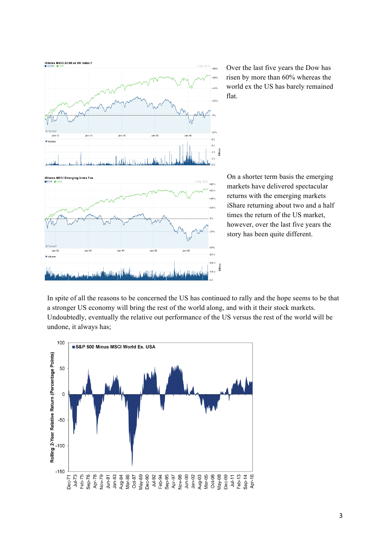

Over the last five years the Dow has risen by more than 60% whereas the world ex the US has barely remained flat.

On a shorter term basis the emerging markets have delivered spectacular returns with the emerging markets iShare returning about two and a half times the return of the US market, however, over the last five years the story has been quite different.

In spite of all the reasons to be concerned the US has continued to rally and the hope seems to be that a stronger US economy will bring the rest of the world along, and with it their stock markets. Undoubtedly, eventually the relative out performance of the US versus the rest of the world will be undone, it always has;

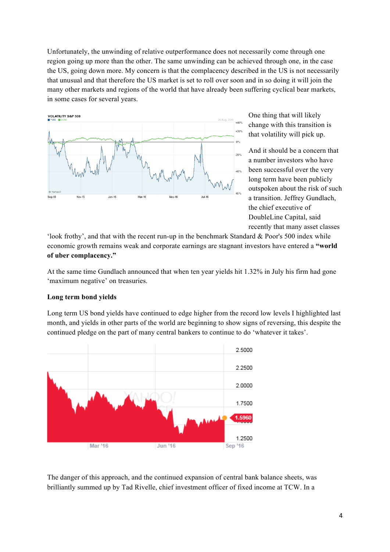Unfortunately, the unwinding of relative outperformance does not necessarily come through one region going up more than the other. The same unwinding can be achieved through one, in the case the US, going down more. My concern is that the complacency described in the US is not necessarily that unusual and that therefore the US market is set to roll over soon and in so doing it will join the many other markets and regions of the world that have already been suffering cyclical bear markets, in some cases for several years.



One thing that will likely change with this transition is that volatility will pick up.

And it should be a concern that a number investors who have been successful over the very long term have been publicly outspoken about the risk of such a transition. Jeffrey Gundlach, the chief executive of DoubleLine Capital, said recently that many asset classes

'look frothy', and that with the recent run-up in the benchmark Standard & Poor's 500 index while economic growth remains weak and corporate earnings are stagnant investors have entered a **"world of uber complacency."**

At the same time Gundlach announced that when ten year yields hit 1.32% in July his firm had gone 'maximum negative' on treasuries.

## **Long term bond yields**

Long term US bond yields have continued to edge higher from the record low levels I highlighted last month, and yields in other parts of the world are beginning to show signs of reversing, this despite the continued pledge on the part of many central bankers to continue to do 'whatever it takes'.



The danger of this approach, and the continued expansion of central bank balance sheets, was brilliantly summed up by Tad Rivelle, chief investment officer of fixed income at TCW. In a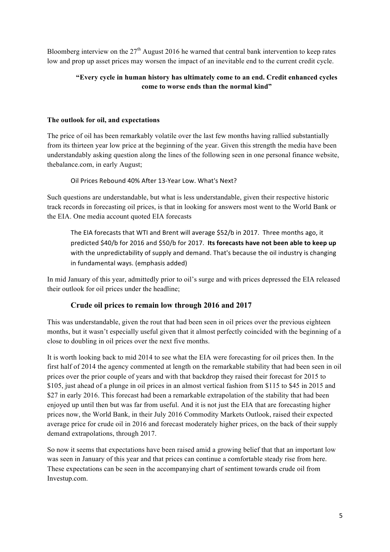Bloomberg interview on the  $27<sup>th</sup>$  August 2016 he warned that central bank intervention to keep rates low and prop up asset prices may worsen the impact of an inevitable end to the current credit cycle.

# **"Every cycle in human history has ultimately come to an end. Credit enhanced cycles come to worse ends than the normal kind"**

#### **The outlook for oil, and expectations**

The price of oil has been remarkably volatile over the last few months having rallied substantially from its thirteen year low price at the beginning of the year. Given this strength the media have been understandably asking question along the lines of the following seen in one personal finance website, thebalance.com, in early August;

Oil Prices Rebound 40% After 13-Year Low. What's Next?

Such questions are understandable, but what is less understandable, given their respective historic track records in forecasting oil prices, is that in looking for answers most went to the World Bank or the EIA. One media account quoted EIA forecasts

The EIA forecasts that WTI and Brent will average \$52/b in 2017. Three months ago, it predicted \$40/b for 2016 and \$50/b for 2017. Its forecasts have not been able to keep up with the unpredictability of supply and demand. That's because the oil industry is changing in fundamental ways. (emphasis added)

In mid January of this year, admittedly prior to oil's surge and with prices depressed the EIA released their outlook for oil prices under the headline;

## **Crude oil prices to remain low through 2016 and 2017**

This was understandable, given the rout that had been seen in oil prices over the previous eighteen months, but it wasn't especially useful given that it almost perfectly coincided with the beginning of a close to doubling in oil prices over the next five months.

It is worth looking back to mid 2014 to see what the EIA were forecasting for oil prices then. In the first half of 2014 the agency commented at length on the remarkable stability that had been seen in oil prices over the prior couple of years and with that backdrop they raised their forecast for 2015 to \$105, just ahead of a plunge in oil prices in an almost vertical fashion from \$115 to \$45 in 2015 and \$27 in early 2016. This forecast had been a remarkable extrapolation of the stability that had been enjoyed up until then but was far from useful. And it is not just the EIA that are forecasting higher prices now, the World Bank, in their July 2016 Commodity Markets Outlook, raised their expected average price for crude oil in 2016 and forecast moderately higher prices, on the back of their supply demand extrapolations, through 2017.

So now it seems that expectations have been raised amid a growing belief that that an important low was seen in January of this year and that prices can continue a comfortable steady rise from here. These expectations can be seen in the accompanying chart of sentiment towards crude oil from Investup.com.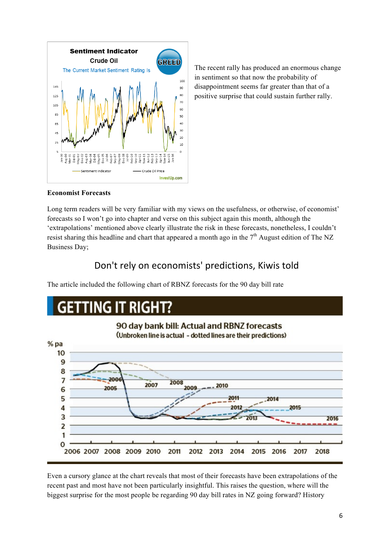

The recent rally has produced an enormous change in sentiment so that now the probability of disappointment seems far greater than that of a positive surprise that could sustain further rally.

#### **Economist Forecasts**

Long term readers will be very familiar with my views on the usefulness, or otherwise, of economist' forecasts so I won't go into chapter and verse on this subject again this month, although the 'extrapolations' mentioned above clearly illustrate the risk in these forecasts, nonetheless, I couldn't resist sharing this headline and chart that appeared a month ago in the  $7<sup>th</sup>$  August edition of The NZ Business Day;

# Don't rely on economists' predictions, Kiwis told

The article included the following chart of RBNZ forecasts for the 90 day bill rate



Even a cursory glance at the chart reveals that most of their forecasts have been extrapolations of the recent past and most have not been particularly insightful. This raises the question, where will the biggest surprise for the most people be regarding 90 day bill rates in NZ going forward? History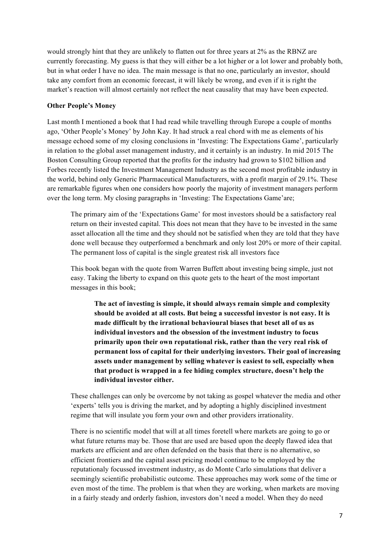would strongly hint that they are unlikely to flatten out for three years at 2% as the RBNZ are currently forecasting. My guess is that they will either be a lot higher or a lot lower and probably both, but in what order I have no idea. The main message is that no one, particularly an investor, should take any comfort from an economic forecast, it will likely be wrong, and even if it is right the market's reaction will almost certainly not reflect the neat causality that may have been expected.

#### **Other People's Money**

Last month I mentioned a book that I had read while travelling through Europe a couple of months ago, 'Other People's Money' by John Kay. It had struck a real chord with me as elements of his message echoed some of my closing conclusions in 'Investing: The Expectations Game', particularly in relation to the global asset management industry, and it certainly is an industry. In mid 2015 The Boston Consulting Group reported that the profits for the industry had grown to \$102 billion and Forbes recently listed the Investment Management Industry as the second most profitable industry in the world, behind only Generic Pharmaceutical Manufacturers, with a profit margin of 29.1%. These are remarkable figures when one considers how poorly the majority of investment managers perform over the long term. My closing paragraphs in 'Investing: The Expectations Game'are;

The primary aim of the 'Expectations Game' for most investors should be a satisfactory real return on their invested capital. This does not mean that they have to be invested in the same asset allocation all the time and they should not be satisfied when they are told that they have done well because they outperformed a benchmark and only lost 20% or more of their capital. The permanent loss of capital is the single greatest risk all investors face

This book began with the quote from Warren Buffett about investing being simple, just not easy. Taking the liberty to expand on this quote gets to the heart of the most important messages in this book;

**The act of investing is simple, it should always remain simple and complexity should be avoided at all costs. But being a successful investor is not easy. It is made difficult by the irrational behavioural biases that beset all of us as individual investors and the obsession of the investment industry to focus primarily upon their own reputational risk, rather than the very real risk of permanent loss of capital for their underlying investors. Their goal of increasing assets under management by selling whatever is easiest to sell, especially when that product is wrapped in a fee hiding complex structure, doesn't help the individual investor either.** 

These challenges can only be overcome by not taking as gospel whatever the media and other 'experts' tells you is driving the market, and by adopting a highly disciplined investment regime that will insulate you form your own and other providers irrationality.

There is no scientific model that will at all times foretell where markets are going to go or what future returns may be. Those that are used are based upon the deeply flawed idea that markets are efficient and are often defended on the basis that there is no alternative, so efficient frontiers and the capital asset pricing model continue to be employed by the reputationaly focussed investment industry, as do Monte Carlo simulations that deliver a seemingly scientific probabilistic outcome. These approaches may work some of the time or even most of the time. The problem is that when they are working, when markets are moving in a fairly steady and orderly fashion, investors don't need a model. When they do need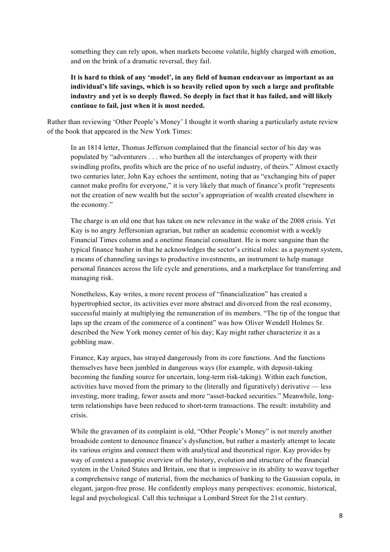something they can rely upon, when markets become volatile, highly charged with emotion, and on the brink of a dramatic reversal, they fail.

# **It is hard to think of any 'model', in any field of human endeavour as important as an individual's life savings, which is so heavily relied upon by such a large and profitable industry and yet is so deeply flawed. So deeply in fact that it has failed, and will likely continue to fail, just when it is most needed.**

Rather than reviewing 'Other People's Money' I thought it worth sharing a particularly astute review of the book that appeared in the New York Times:

In an 1814 letter, Thomas Jefferson complained that the financial sector of his day was populated by "adventurers . . . who burthen all the interchanges of property with their swindling profits, profits which are the price of no useful industry, of theirs." Almost exactly two centuries later, John Kay echoes the sentiment, noting that as "exchanging bits of paper cannot make profits for everyone," it is very likely that much of finance's profit "represents not the creation of new wealth but the sector's appropriation of wealth created elsewhere in the economy."

The charge is an old one that has taken on new relevance in the wake of the 2008 crisis. Yet Kay is no angry Jeffersonian agrarian, but rather an academic economist with a weekly Financial Times column and a onetime financial consultant. He is more sanguine than the typical finance basher in that he acknowledges the sector's critical roles: as a payment system, a means of channeling savings to productive investments, an instrument to help manage personal finances across the life cycle and generations, and a marketplace for transferring and managing risk.

Nonetheless, Kay writes, a more recent process of "financialization" has created a hypertrophied sector, its activities ever more abstract and divorced from the real economy, successful mainly at multiplying the remuneration of its members. "The tip of the tongue that laps up the cream of the commerce of a continent" was how Oliver Wendell Holmes Sr. described the New York money center of his day; Kay might rather characterize it as a gobbling maw.

Finance, Kay argues, has strayed dangerously from its core functions. And the functions themselves have been jumbled in dangerous ways (for example, with deposit-taking becoming the funding source for uncertain, long-term risk-taking). Within each function, activities have moved from the primary to the (literally and figuratively) derivative — less investing, more trading, fewer assets and more "asset-backed securities." Meanwhile, longterm relationships have been reduced to short-term transactions. The result: instability and crisis.

While the gravamen of its complaint is old, "Other People's Money" is not merely another broadside content to denounce finance's dysfunction, but rather a masterly attempt to locate its various origins and connect them with analytical and theoretical rigor. Kay provides by way of context a panoptic overview of the history, evolution and structure of the financial system in the United States and Britain, one that is impressive in its ability to weave together a comprehensive range of material, from the mechanics of banking to the Gaussian copula, in elegant, jargon-free prose. He confidently employs many perspectives: economic, historical, legal and psychological. Call this technique a Lombard Street for the 21st century.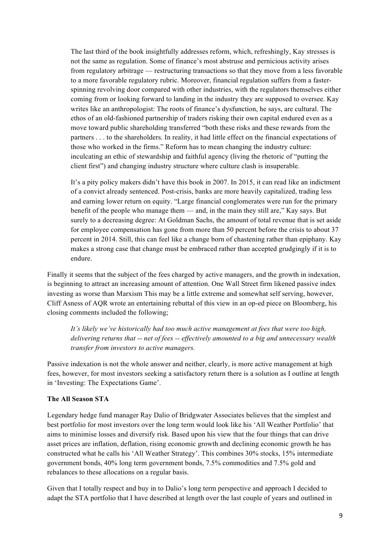The last third of the book insightfully addresses reform, which, refreshingly, Kay stresses is not the same as regulation. Some of finance's most abstruse and pernicious activity arises from regulatory arbitrage — restructuring transactions so that they move from a less favorable to a more favorable regulatory rubric. Moreover, financial regulation suffers from a fasterspinning revolving door compared with other industries, with the regulators themselves either coming from or looking forward to landing in the industry they are supposed to oversee. Kay writes like an anthropologist: The roots of finance's dysfunction, he says, are cultural. The ethos of an old-fashioned partnership of traders risking their own capital endured even as a move toward public shareholding transferred "both these risks and these rewards from the partners . . . to the shareholders. In reality, it had little effect on the financial expectations of those who worked in the firms." Reform has to mean changing the industry culture: inculcating an ethic of stewardship and faithful agency (living the rhetoric of "putting the client first") and changing industry structure where culture clash is insuperable.

It's a pity policy makers didn't have this book in 2007. In 2015, it can read like an indictment of a convict already sentenced. Post-crisis, banks are more heavily capitalized, trading less and earning lower return on equity. "Large financial conglomerates were run for the primary benefit of the people who manage them — and, in the main they still are," Kay says. But surely to a decreasing degree: At Goldman Sachs, the amount of total revenue that is set aside for employee compensation has gone from more than 50 percent before the crisis to about 37 percent in 2014. Still, this can feel like a change born of chastening rather than epiphany. Kay makes a strong case that change must be embraced rather than accepted grudgingly if it is to endure.

Finally it seems that the subject of the fees charged by active managers, and the growth in indexation, is beginning to attract an increasing amount of attention. One Wall Street firm likened passive index investing as worse than Marxism This may be a little extreme and somewhat self serving, however, Cliff Asness of AQR wrote an entertaining rebuttal of this view in an op-ed piece on Bloomberg, his closing comments included the following;

*It's likely we've historically had too much active management at fees that were too high, delivering returns that -- net of fees -- effectively amounted to a big and unnecessary wealth transfer from investors to active managers.*

Passive indexation is not the whole answer and neither, clearly, is more active management at high fees, however, for most investors seeking a satisfactory return there is a solution as I outline at length in 'Investing: The Expectations Game'.

#### **The All Season STA**

Legendary hedge fund manager Ray Dalio of Bridgwater Associates believes that the simplest and best portfolio for most investors over the long term would look like his 'All Weather Portfolio' that aims to minimise losses and diversify risk. Based upon his view that the four things that can drive asset prices are inflation, deflation, rising economic growth and declining economic growth he has constructed what he calls his 'All Weather Strategy'. This combines 30% stocks, 15% intermediate government bonds, 40% long term government bonds, 7.5% commodities and 7.5% gold and rebalances to these allocations on a regular basis.

Given that I totally respect and buy in to Dalio's long term perspective and approach I decided to adapt the STA portfolio that I have described at length over the last couple of years and outlined in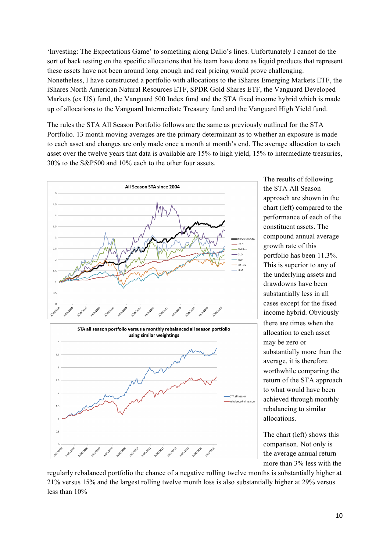'Investing: The Expectations Game' to something along Dalio's lines. Unfortunately I cannot do the sort of back testing on the specific allocations that his team have done as liquid products that represent these assets have not been around long enough and real pricing would prove challenging. Nonetheless, I have constructed a portfolio with allocations to the iShares Emerging Markets ETF, the iShares North American Natural Resources ETF, SPDR Gold Shares ETF, the Vanguard Developed Markets (ex US) fund, the Vanguard 500 Index fund and the STA fixed income hybrid which is made up of allocations to the Vanguard Intermediate Treasury fund and the Vanguard High Yield fund.

The rules the STA All Season Portfolio follows are the same as previously outlined for the STA Portfolio. 13 month moving averages are the primary determinant as to whether an exposure is made to each asset and changes are only made once a month at month's end. The average allocation to each asset over the twelve years that data is available are 15% to high yield, 15% to intermediate treasuries, 30% to the S&P500 and 10% each to the other four assets.



wenter wenter years wenter wenter wenter wenter a wenter wenter wenter a wenter

The results of following the STA All Season approach are shown in the chart (left) compared to the performance of each of the constituent assets. The compound annual average growth rate of this portfolio has been 11.3%. This is superior to any of the underlying assets and drawdowns have been substantially less in all cases except for the fixed income hybrid. Obviously there are times when the allocation to each asset may be zero or substantially more than the average, it is therefore worthwhile comparing the return of the STA approach to what would have been achieved through monthly rebalancing to similar allocations.

The chart (left) shows this comparison. Not only is the average annual return more than 3% less with the

regularly rebalanced portfolio the chance of a negative rolling twelve months is substantially higher at 21% versus 15% and the largest rolling twelve month loss is also substantially higher at 29% versus less than 10%